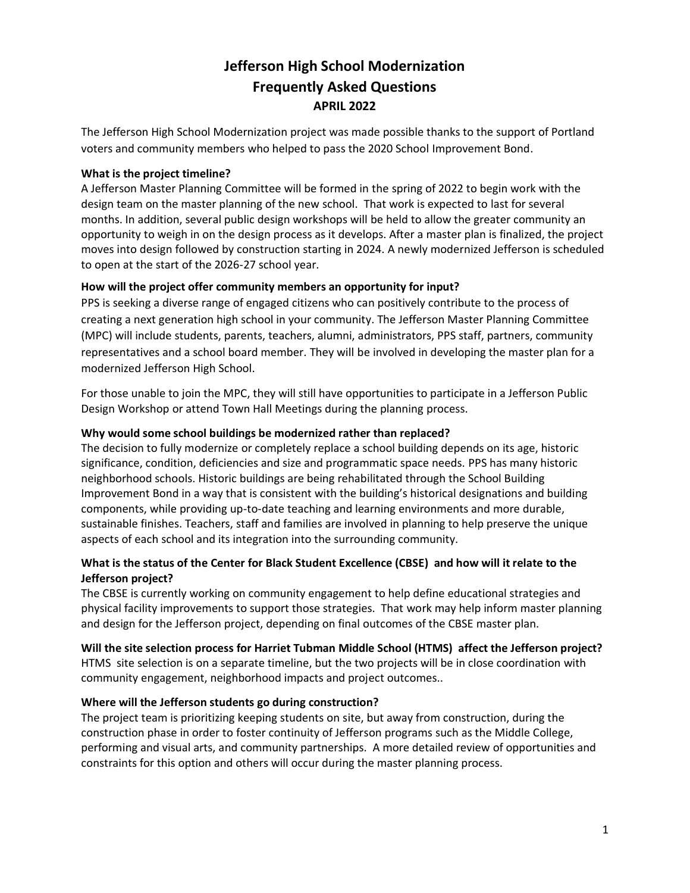# **Jefferson High School Modernization Frequently Asked Questions APRIL 2022**

The Jefferson High School Modernization project was made possible thanks to the support of Portland voters and community members who helped to pass the 2020 School Improvement Bond.

#### **What is the project timeline?**

A Jefferson Master Planning Committee will be formed in the spring of 2022 to begin work with the design team on the master planning of the new school. That work is expected to last for several months. In addition, several public design workshops will be held to allow the greater community an opportunity to weigh in on the design process as it develops. After a master plan is finalized, the project moves into design followed by construction starting in 2024. A newly modernized Jefferson is scheduled to open at the start of the 2026-27 school year.

### **How will the project offer community members an opportunity for input?**

PPS is seeking a diverse range of engaged citizens who can positively contribute to the process of creating a next generation high school in your community. The Jefferson Master Planning Committee (MPC) will include students, parents, teachers, alumni, administrators, PPS staff, partners, community representatives and a school board member. They will be involved in developing the master plan for a modernized Jefferson High School.

For those unable to join the MPC, they will still have opportunities to participate in a Jefferson Public Design Workshop or attend Town Hall Meetings during the planning process.

### **Why would some school buildings be modernized rather than replaced?**

The decision to fully modernize or completely replace a school building depends on its age, historic significance, condition, deficiencies and size and programmatic space needs. PPS has many historic neighborhood schools. Historic buildings are being rehabilitated through the School Building Improvement Bond in a way that is consistent with the building's historical designations and building components, while providing up-to-date teaching and learning environments and more durable, sustainable finishes. Teachers, staff and families are involved in planning to help preserve the unique aspects of each school and its integration into the surrounding community.

## **What is the status of the Center for Black Student Excellence (CBSE) and how will it relate to the Jefferson project?**

The CBSE is currently working on community engagement to help define educational strategies and physical facility improvements to support those strategies. That work may help inform master planning and design for the Jefferson project, depending on final outcomes of the CBSE master plan.

# **Will the site selection process for Harriet Tubman Middle School (HTMS) affect the Jefferson project?**

HTMS site selection is on a separate timeline, but the two projects will be in close coordination with community engagement, neighborhood impacts and project outcomes..

## **Where will the Jefferson students go during construction?**

The project team is prioritizing keeping students on site, but away from construction, during the construction phase in order to foster continuity of Jefferson programs such as the Middle College, performing and visual arts, and community partnerships. A more detailed review of opportunities and constraints for this option and others will occur during the master planning process.